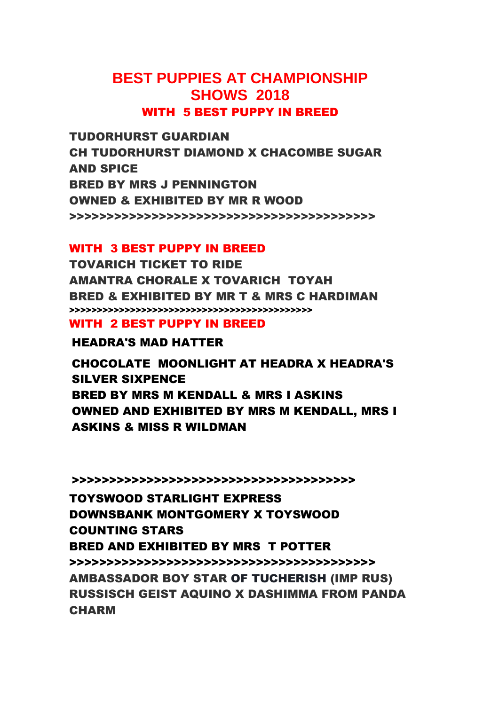## **BEST PUPPIES AT CHAMPIONSHIP SHOWS 2018** WITH 5 BEST PUPPY IN BREED

TUDORHURST GUARDIAN CH TUDORHURST DIAMOND X CHACOMBE SUGAR AND SPICE BRED BY MRS J PENNINGTON OWNED & EXHIBITED BY MR R WOOD >>>>>>>>>>>>>>>>>>>>>>>>>>>>>>>>>>>>>>>>>

#### WITH 3 BEST PUPPY IN BREED

TOVARICH TICKET TO RIDE AMANTRA CHORALE X TOVARICH TOYAH BRED & EXHIBITED BY MR T & MRS C HARDIMAN >>>>>>>>>>>>>>>>>>>>>>>>>>>>>>>>>>>>>>>>>>>>

#### WITH 2 BEST PUPPY IN BREED

HEADRA'S MAD HATTER

CHOCOLATE MOONLIGHT AT HEADRA X HEADRA'S SILVER SIXPENCE BRED BY MRS M KENDALL & MRS I ASKINS OWNED AND EXHIBITED BY MRS M KENDALL, MRS I ASKINS & MISS R WILDMAN

>>>>>>>>>>>>>>>>>>>>>>>>>>>>>>>>>>>>>>

TOYSWOOD STARLIGHT EXPRESS DOWNSBANK MONTGOMERY X TOYSWOOD COUNTING STARS BRED AND EXHIBITED BY MRS T POTTER >>>>>>>>>>>>>>>>>>>>>>>>>>>>>>>>>>>>>>>>> AMBASSADOR BOY STAR OF TUCHERISH (IMP RUS) RUSSISCH GEIST AQUINO X DASHIMMA FROM PANDA CHARM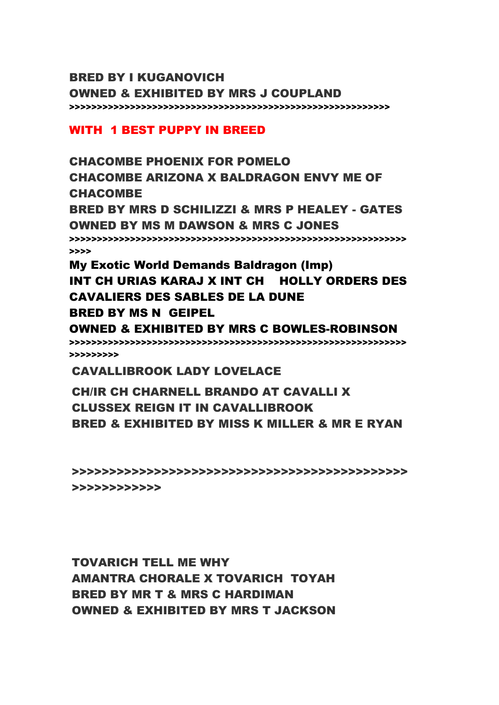#### BRED BY I KUGANOVICH OWNED & EXHIBITED BY MRS J COUPLAND >>>>>>>>>>>>>>>>>>>>>>>>>>>>>>>>>>>>>>>>>>>>>>>>>>>>>>>>>>

#### WITH 1 BEST PUPPY IN BREED

CHACOMBE PHOENIX FOR POMELO CHACOMBE ARIZONA X BALDRAGON ENVY ME OF CHACOMBE BRED BY MRS D SCHILIZZI & MRS P HEALEY - GATES OWNED BY MS M DAWSON & MRS C JONES >>>>>>>>>>>>>>>>>>>>>>>>>>>>>>>>>>>>>>>>>>>>>>>>>>>>>>>>>>>>> >>>> My Exotic World Demands Baldragon (Imp)

# INT CH URIAS KARAJ X INT CH HOLLY ORDERS DES CAVALIERS DES SABLES DE LA DUNE BRED BY MS N GEIPEL

OWNED & EXHIBITED BY MRS C BOWLES-ROBINSON >>>>>>>>>>>>>>>>>>>>>>>>>>>>>>>>>>>>>>>>>>>>>>>>>>>>>>>>>>>>> >>>>>>>>>

CAVALLIBROOK LADY LOVELACE

### CH/IR CH CHARNELL BRANDO AT CAVALLI X CLUSSEX REIGN IT IN CAVALLIBROOK BRED & EXHIBITED BY MISS K MILLER & MR E RYAN

>>>>>>>>>>>>>>>>>>>>>>>>>>>>>>>>>>>>>>>>>>>>> >>>>>>>>>>>>

TOVARICH TELL ME WHY AMANTRA CHORALE X TOVARICH TOYAH BRED BY MR T & MRS C HARDIMAN OWNED & EXHIBITED BY MRS T JACKSON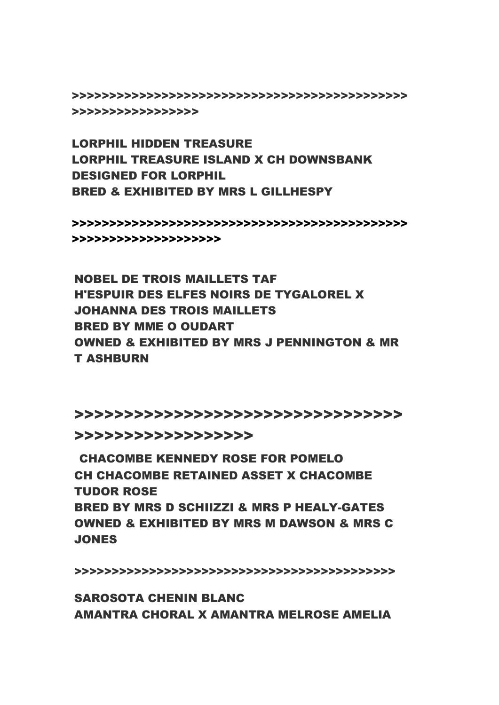>>>>>>>>>>>>>>>>>>>>>>>>>>>>>>>>>>>>>>>>>>>>> >>>>>>>>>>>>>>>>>

LORPHIL HIDDEN TREASURE LORPHIL TREASURE ISLAND X CH DOWNSBANK DESIGNED FOR LORPHIL BRED & EXHIBITED BY MRS L GILLHESPY

>>>>>>>>>>>>>>>>>>>>>>>>>>>>>>>>>>>>>>>>>>>>> >>>>>>>>>>>>>>>>>>>>

NOBEL DE TROIS MAILLETS TAF H'ESPUIR DES ELFES NOIRS DE TYGALOREL X JOHANNA DES TROIS MAILLETS BRED BY MME O OUDART OWNED & EXHIBITED BY MRS J PENNINGTON & MR T ASHBURN

>>>>>>>>>>>>>>>>>>>>>>>>>>>>>>>>>

>>>>>>>>>>>>>>>>>>

CHACOMBE KENNEDY ROSE FOR POMELO CH CHACOMBE RETAINED ASSET X CHACOMBE TUDOR ROSE BRED BY MRS D SCHIIZZI & MRS P HEALY-GATES OWNED & EXHIBITED BY MRS M DAWSON & MRS C **JONES** 

>>>>>>>>>>>>>>>>>>>>>>>>>>>>>>>>>>>>>>>>>>>

SAROSOTA CHENIN BLANC AMANTRA CHORAL X AMANTRA MELROSE AMELIA